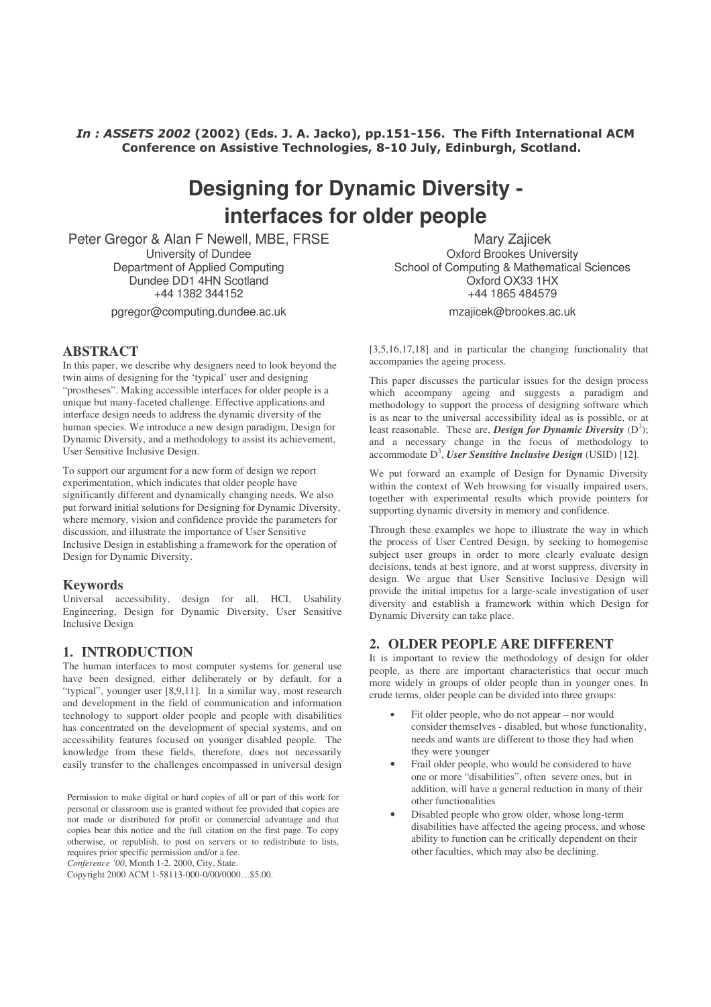## In: ASSETS 2002 (2002) (Eds. J. A. Jacko), pp.151-156. The Fifth International ACM Conference on Assistive Technologies, 8-10 July, Edinburgh, Scotland.

# **Designing for Dynamic Diversity interfaces for older people**

Peter Gregor & Alan F Newell, MBE, FRSE University of Dundee Department of Applied Computing Dundee DD1 4HN Scotland +44 1382 344152

pgregor@computing.dundee.ac.uk

### **ABSTRACT**

In this paper, we describe why designers need to look beyond the twin aims of designing for the 'typical' user and designing "prostheses". Making accessible interfaces for older people is a unique but many-faceted challenge. Effective applications and interface design needs to address the dynamic diversity of the human species. We introduce a new design paradigm, Design for Dynamic Diversity, and a methodology to assist its achievement, User Sensitive Inclusive Design.

To support our argument for a new form of design we report experimentation, which indicates that older people have significantly different and dynamically changing needs. We also put forward initial solutions for Designing for Dynamic Diversity, where memory, vision and confidence provide the parameters for discussion, and illustrate the importance of User Sensitive Inclusive Design in establishing a framework for the operation of Design for Dynamic Diversity.

#### **Keywords**

Universal accessibility, design for all, HCI, Usability Engineering, Design for Dynamic Diversity, User Sensitive Inclusive Design

## **1. INTRODUCTION**

The human interfaces to most computer systems for general use have been designed, either deliberately or by default, for a "typical", younger user [8,9,11]. In a similar way, most research and development in the field of communication and information technology to support older people and people with disabilities has concentrated on the development of special systems, and on accessibility features focused on younger disabled people. The knowledge from these fields, therefore, does not necessarily easily transfer to the challenges encompassed in universal design

Permission to make digital or hard copies of all or part of this work for personal or classroom use is granted without fee provided that copies are not made or distributed for profit or commercial advantage and that copies bear this notice and the full citation on the first page. To copy otherwise, or republish, to post on servers or to redistribute to lists, requires prior specific permission and/or a fee.

*Conference '00*, Month 1-2, 2000, City, State.

Copyright 2000 ACM 1-58113-000-0/00/0000…\$5.00.

Mary Zajicek Oxford Brookes University School of Computing & Mathematical Sciences Oxford OX33 1HX +44 1865 484579

mzajicek@brookes.ac.uk

[3,5,16,17,18] and in particular the changing functionality that accompanies the ageing process.

This paper discusses the particular issues for the design process which accompany ageing and suggests a paradigm and methodology to support the process of designing software which is as near to the universal accessibility ideal as is possible, or at least reasonable. These are, *Design for Dynamic Diversity* (D 3 ); and a necessary change in the focus of methodology to accommodate D 3 , *User Sensitive Inclusive Design* (USID) [12].

We put forward an example of Design for Dynamic Diversity within the context of Web browsing for visually impaired users, together with experimental results which provide pointers for supporting dynamic diversity in memory and confidence.

Through these examples we hope to illustrate the way in which the process of User Centred Design, by seeking to homogenise subject user groups in order to more clearly evaluate design decisions, tends at best ignore, and at worst suppress, diversity in design. We argue that User Sensitive Inclusive Design will provide the initial impetus for a large-scale investigation of user diversity and establish a framework within which Design for Dynamic Diversity can take place.

#### **2. OLDER PEOPLE ARE DIFFERENT**

It is important to review the methodology of design for older people, as there are important characteristics that occur much more widely in groups of older people than in younger ones. In crude terms, older people can be divided into three groups:

- Fit older people, who do not appear nor would consider themselves - disabled, but whose functionality, needs and wants are different to those they had when they were younger
- Frail older people, who would be considered to have one or more "disabilities", often severe ones, but in addition, will have a general reduction in many of their other functionalities
- Disabled people who grow older, whose long-term disabilities have affected the ageing process, and whose ability to function can be critically dependent on their other faculties, which may also be declining.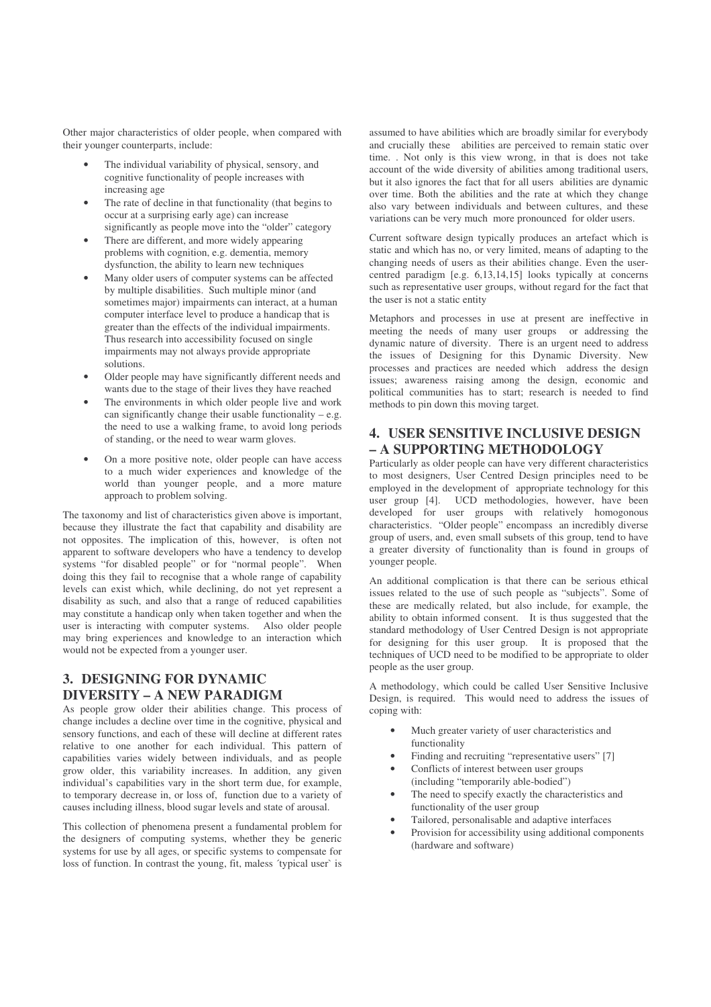Other major characteristics of older people, when compared with their younger counterparts, include:

- The individual variability of physical, sensory, and cognitive functionality of people increases with increasing age
- The rate of decline in that functionality (that begins to occur at a surprising early age) can increase significantly as people move into the "older" category
- There are different, and more widely appearing problems with cognition, e.g. dementia, memory dysfunction, the ability to learn new techniques
- Many older users of computer systems can be affected by multiple disabilities. Such multiple minor (and sometimes major) impairments can interact, at a human computer interface level to produce a handicap that is greater than the effects of the individual impairments. Thus research into accessibility focused on single impairments may not always provide appropriate solutions.
- Older people may have significantly different needs and wants due to the stage of their lives they have reached
- The environments in which older people live and work can significantly change their usable functionality – e.g. the need to use a walking frame, to avoid long periods of standing, or the need to wear warm gloves.
- On a more positive note, older people can have access to a much wider experiences and knowledge of the world than younger people, and a more mature approach to problem solving.

The taxonomy and list of characteristics given above is important, because they illustrate the fact that capability and disability are not opposites. The implication of this, however, is often not apparent to software developers who have a tendency to develop systems "for disabled people" or for "normal people". When doing this they fail to recognise that a whole range of capability levels can exist which, while declining, do not yet represent a disability as such, and also that a range of reduced capabilities may constitute a handicap only when taken together and when the user is interacting with computer systems. Also older people may bring experiences and knowledge to an interaction which would not be expected from a younger user.

# **3. DESIGNING FOR DYNAMIC DIVERSITY – A NEW PARADIGM**

As people grow older their abilities change. This process of change includes a decline over time in the cognitive, physical and sensory functions, and each of these will decline at different rates relative to one another for each individual. This pattern of capabilities varies widely between individuals, and as people grow older, this variability increases. In addition, any given individual's capabilities vary in the short term due, for example, to temporary decrease in, or loss of, function due to a variety of causes including illness, blood sugar levels and state of arousal.

This collection of phenomena present a fundamental problem for the designers of computing systems, whether they be generic systems for use by all ages, or specific systems to compensate for loss of function. In contrast the young, fit, maless 'typical user' is

assumed to have abilities which are broadly similar for everybody and crucially these abilities are perceived to remain static over time. . Not only is this view wrong, in that is does not take account of the wide diversity of abilities among traditional users, but it also ignores the fact that for all users abilities are dynamic over time. Both the abilities and the rate at which they change also vary between individuals and between cultures, and these variations can be very much more pronounced for older users.

Current software design typically produces an artefact which is static and which has no, or very limited, means of adapting to the changing needs of users as their abilities change. Even the usercentred paradigm [e.g. 6,13,14,15] looks typically at concerns such as representative user groups, without regard for the fact that the user is not a static entity

Metaphors and processes in use at present are ineffective in meeting the needs of many user groups or addressing the dynamic nature of diversity. There is an urgent need to address the issues of Designing for this Dynamic Diversity. New processes and practices are needed which address the design issues; awareness raising among the design, economic and political communities has to start; research is needed to find methods to pin down this moving target.

## **4. USER SENSITIVE INCLUSIVE DESIGN – A SUPPORTING METHODOLOGY**

Particularly as older people can have very different characteristics to most designers, User Centred Design principles need to be employed in the development of appropriate technology for this user group [4]. UCD methodologies, however, have been developed for user groups with relatively homogonous characteristics. "Older people" encompass an incredibly diverse group of users, and, even small subsets of this group, tend to have a greater diversity of functionality than is found in groups of younger people.

An additional complication is that there can be serious ethical issues related to the use of such people as "subjects". Some of these are medically related, but also include, for example, the ability to obtain informed consent. It is thus suggested that the standard methodology of User Centred Design is not appropriate for designing for this user group. It is proposed that the techniques of UCD need to be modified to be appropriate to older people as the user group.

A methodology, which could be called User Sensitive Inclusive Design, is required. This would need to address the issues of coping with:

- Much greater variety of user characteristics and functionality
- Finding and recruiting "representative users" [7]
- Conflicts of interest between user groups (including "temporarily able-bodied")
- The need to specify exactly the characteristics and functionality of the user group
- Tailored, personalisable and adaptive interfaces
- Provision for accessibility using additional components (hardware and software)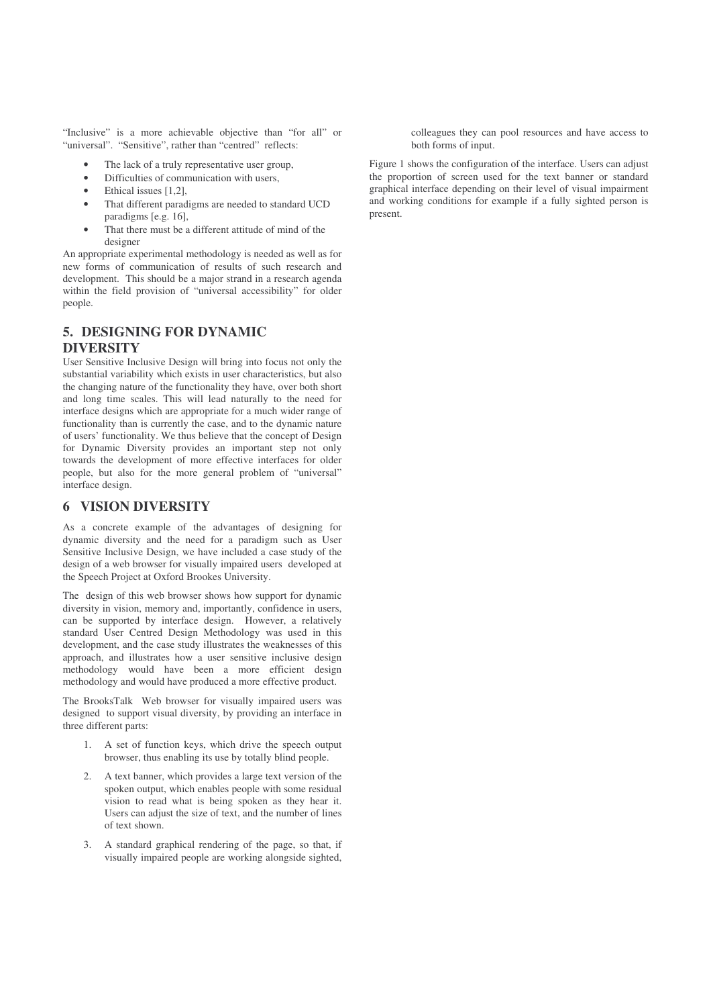"Inclusive" is a more achievable objective than "for all" or "universal". "Sensitive", rather than "centred" reflects:

- The lack of a truly representative user group,
- Difficulties of communication with users,
- Ethical issues [1,2],
- That different paradigms are needed to standard UCD paradigms [e.g. 16],
- That there must be a different attitude of mind of the designer

An appropriate experimental methodology is needed as well as for new forms of communication of results of such research and development. This should be a major strand in a research agenda within the field provision of "universal accessibility" for older people.

## **5. DESIGNING FOR DYNAMIC DIVERSITY**

User Sensitive Inclusive Design will bring into focus not only the substantial variability which exists in user characteristics, but also the changing nature of the functionality they have, over both short and long time scales. This will lead naturally to the need for interface designs which are appropriate for a much wider range of functionality than is currently the case, and to the dynamic nature of users' functionality. We thus believe that the concept of Design for Dynamic Diversity provides an important step not only towards the development of more effective interfaces for older people, but also for the more general problem of "universal" interface design.

# **6 VISION DIVERSITY**

As a concrete example of the advantages of designing for dynamic diversity and the need for a paradigm such as User Sensitive Inclusive Design, we have included a case study of the design of a web browser for visually impaired users developed at the Speech Project at Oxford Brookes University.

The design of this web browser shows how support for dynamic diversity in vision, memory and, importantly, confidence in users, can be supported by interface design. However, a relatively standard User Centred Design Methodology was used in this development, and the case study illustrates the weaknesses of this approach, and illustrates how a user sensitive inclusive design methodology would have been a more efficient design methodology and would have produced a more effective product.

The BrooksTalk Web browser for visually impaired users was designed to support visual diversity, by providing an interface in three different parts:

- 1. A set of function keys, which drive the speech output browser, thus enabling its use by totally blind people.
- 2. A text banner, which provides a large text version of the spoken output, which enables people with some residual vision to read what is being spoken as they hear it. Users can adjust the size of text, and the number of lines of text shown.
- 3. A standard graphical rendering of the page, so that, if visually impaired people are working alongside sighted,

colleagues they can pool resources and have access to both forms of input.

Figure 1 shows the configuration of the interface. Users can adjust the proportion of screen used for the text banner or standard graphical interface depending on their level of visual impairment and working conditions for example if a fully sighted person is present.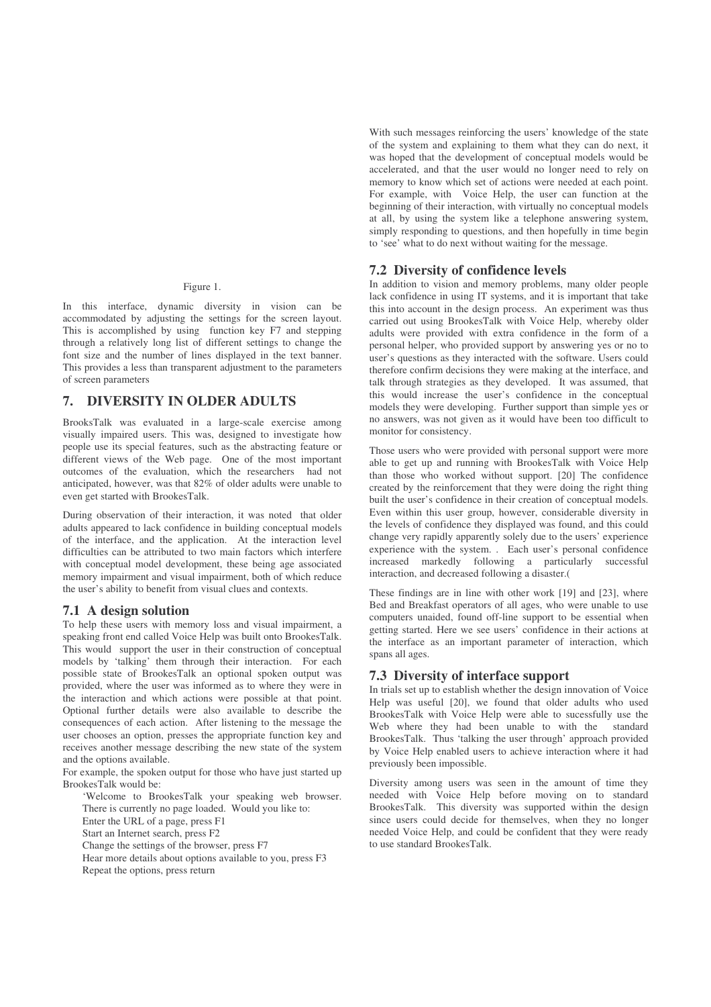#### Figure 1.

In this interface, dynamic diversity in vision can be accommodated by adjusting the settings for the screen layout. This is accomplished by using function key F7 and stepping through a relatively long list of different settings to change the font size and the number of lines displayed in the text banner. This provides a less than transparent adjustment to the parameters of screen parameters

## **7. DIVERSITY IN OLDER ADULTS**

BrooksTalk was evaluated in a large-scale exercise among visually impaired users. This was, designed to investigate how people use its special features, such as the abstracting feature or different views of the Web page. One of the most important outcomes of the evaluation, which the researchers had not anticipated, however, was that 82% of older adults were unable to even get started with BrookesTalk.

During observation of their interaction, it was noted that older adults appeared to lack confidence in building conceptual models of the interface, and the application. At the interaction level difficulties can be attributed to two main factors which interfere with conceptual model development, these being age associated memory impairment and visual impairment, both of which reduce the user's ability to benefit from visual clues and contexts.

#### **7.1 A design solution**

To help these users with memory loss and visual impairment, a speaking front end called Voice Help was built onto BrookesTalk. This would support the user in their construction of conceptual models by 'talking' them through their interaction. For each possible state of BrookesTalk an optional spoken output was provided, where the user was informed as to where they were in the interaction and which actions were possible at that point. Optional further details were also available to describe the consequences of each action. After listening to the message the user chooses an option, presses the appropriate function key and receives another message describing the new state of the system and the options available.

For example, the spoken output for those who have just started up BrookesTalk would be:

'Welcome to BrookesTalk your speaking web browser. There is currently no page loaded. Would you like to: Enter the URL of a page, press F1 Start an Internet search, press F2 Change the settings of the browser, press F7 Hear more details about options available to you, press F3 Repeat the options, press return

With such messages reinforcing the users' knowledge of the state of the system and explaining to them what they can do next, it was hoped that the development of conceptual models would be accelerated, and that the user would no longer need to rely on memory to know which set of actions were needed at each point. For example, with Voice Help, the user can function at the beginning of their interaction, with virtually no conceptual models at all, by using the system like a telephone answering system, simply responding to questions, and then hopefully in time begin to 'see' what to do next without waiting for the message.

#### **7.2 Diversity of confidence levels**

In addition to vision and memory problems, many older people lack confidence in using IT systems, and it is important that take this into account in the design process. An experiment was thus carried out using BrookesTalk with Voice Help, whereby older adults were provided with extra confidence in the form of a personal helper, who provided support by answering yes or no to user's questions as they interacted with the software. Users could therefore confirm decisions they were making at the interface, and talk through strategies as they developed. It was assumed, that this would increase the user's confidence in the conceptual models they were developing. Further support than simple yes or no answers, was not given as it would have been too difficult to monitor for consistency.

Those users who were provided with personal support were more able to get up and running with BrookesTalk with Voice Help than those who worked without support. [20] The confidence created by the reinforcement that they were doing the right thing built the user's confidence in their creation of conceptual models. Even within this user group, however, considerable diversity in the levels of confidence they displayed was found, and this could change very rapidly apparently solely due to the users' experience experience with the system. . Each user's personal confidence increased markedly following a particularly successful interaction, and decreased following a disaster.(

These findings are in line with other work [19] and [23], where Bed and Breakfast operators of all ages, who were unable to use computers unaided, found off-line support to be essential when getting started. Here we see users' confidence in their actions at the interface as an important parameter of interaction, which spans all ages.

### **7.3 Diversity of interface support**

In trials set up to establish whether the design innovation of Voice Help was useful [20], we found that older adults who used BrookesTalk with Voice Help were able to sucessfully use the Web where they had been unable to with the standard BrookesTalk. Thus 'talking the user through' approach provided by Voice Help enabled users to achieve interaction where it had previously been impossible.

Diversity among users was seen in the amount of time they needed with Voice Help before moving on to standard BrookesTalk. This diversity was supported within the design since users could decide for themselves, when they no longer needed Voice Help, and could be confident that they were ready to use standard BrookesTalk.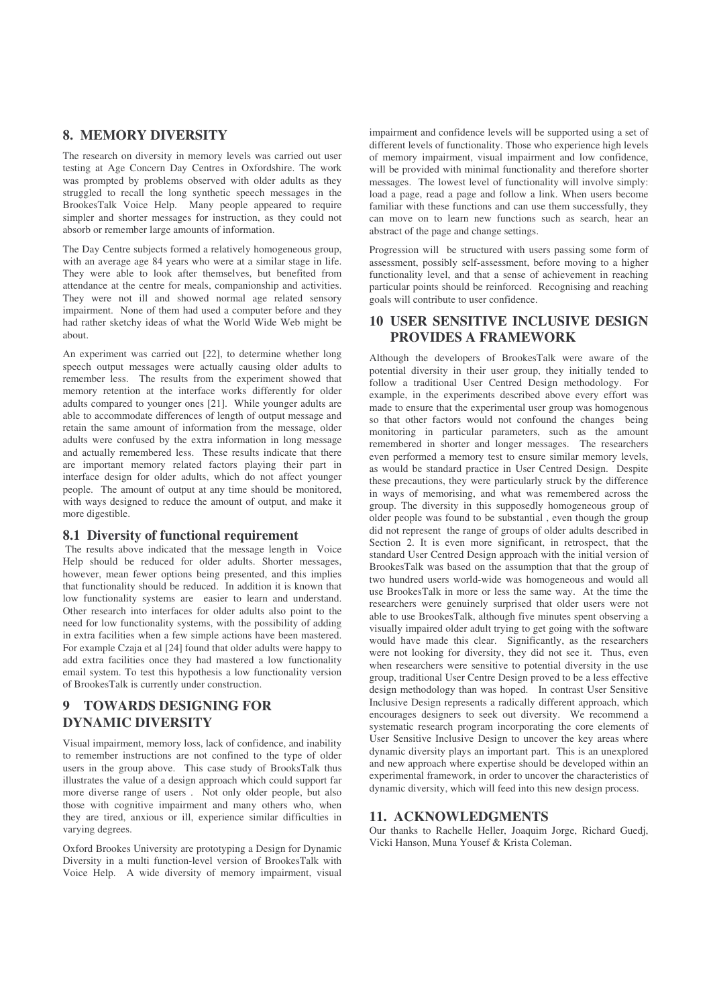## **8. MEMORY DIVERSITY**

The research on diversity in memory levels was carried out user testing at Age Concern Day Centres in Oxfordshire. The work was prompted by problems observed with older adults as they struggled to recall the long synthetic speech messages in the BrookesTalk Voice Help. Many people appeared to require simpler and shorter messages for instruction, as they could not absorb or remember large amounts of information.

The Day Centre subjects formed a relatively homogeneous group, with an average age 84 years who were at a similar stage in life. They were able to look after themselves, but benefited from attendance at the centre for meals, companionship and activities. They were not ill and showed normal age related sensory impairment. None of them had used a computer before and they had rather sketchy ideas of what the World Wide Web might be about.

An experiment was carried out [22], to determine whether long speech output messages were actually causing older adults to remember less. The results from the experiment showed that memory retention at the interface works differently for older adults compared to younger ones [21]. While younger adults are able to accommodate differences of length of output message and retain the same amount of information from the message, older adults were confused by the extra information in long message and actually remembered less. These results indicate that there are important memory related factors playing their part in interface design for older adults, which do not affect younger people. The amount of output at any time should be monitored, with ways designed to reduce the amount of output, and make it more digestible.

### **8.1 Diversity of functional requirement**

The results above indicated that the message length in Voice Help should be reduced for older adults. Shorter messages, however, mean fewer options being presented, and this implies that functionality should be reduced. In addition it is known that low functionality systems are easier to learn and understand. Other research into interfaces for older adults also point to the need for low functionality systems, with the possibility of adding in extra facilities when a few simple actions have been mastered. For example Czaja et al [24] found that older adults were happy to add extra facilities once they had mastered a low functionality email system. To test this hypothesis a low functionality version of BrookesTalk is currently under construction.

## **9 TOWARDS DESIGNING FOR DYNAMIC DIVERSITY**

Visual impairment, memory loss, lack of confidence, and inability to remember instructions are not confined to the type of older users in the group above. This case study of BrooksTalk thus illustrates the value of a design approach which could support far more diverse range of users . Not only older people, but also those with cognitive impairment and many others who, when they are tired, anxious or ill, experience similar difficulties in varying degrees.

Oxford Brookes University are prototyping a Design for Dynamic Diversity in a multi function-level version of BrookesTalk with Voice Help. A wide diversity of memory impairment, visual impairment and confidence levels will be supported using a set of different levels of functionality. Those who experience high levels of memory impairment, visual impairment and low confidence, will be provided with minimal functionality and therefore shorter messages. The lowest level of functionality will involve simply: load a page, read a page and follow a link. When users become familiar with these functions and can use them successfully, they can move on to learn new functions such as search, hear an abstract of the page and change settings.

Progression will be structured with users passing some form of assessment, possibly self-assessment, before moving to a higher functionality level, and that a sense of achievement in reaching particular points should be reinforced. Recognising and reaching goals will contribute to user confidence.

# **10 USER SENSITIVE INCLUSIVE DESIGN PROVIDES A FRAMEWORK**

Although the developers of BrookesTalk were aware of the potential diversity in their user group, they initially tended to follow a traditional User Centred Design methodology. For example, in the experiments described above every effort was made to ensure that the experimental user group was homogenous so that other factors would not confound the changes being monitoring in particular parameters, such as the amount remembered in shorter and longer messages. The researchers even performed a memory test to ensure similar memory levels, as would be standard practice in User Centred Design. Despite these precautions, they were particularly struck by the difference in ways of memorising, and what was remembered across the group. The diversity in this supposedly homogeneous group of  $\overline{\text{older}}$  people was found to be substantial, even though the group did not represent the range of groups of older adults described in Section 2. It is even more significant, in retrospect, that the standard User Centred Design approach with the initial version of BrookesTalk was based on the assumption that that the group of two hundred users world-wide was homogeneous and would all use BrookesTalk in more or less the same way. At the time the researchers were genuinely surprised that older users were not able to use BrookesTalk, although five minutes spent observing a visually impaired older adult trying to get going with the software would have made this clear. Significantly, as the researchers were not looking for diversity, they did not see it. Thus, even when researchers were sensitive to potential diversity in the use group, traditional User Centre Design proved to be a less effective design methodology than was hoped. In contrast User Sensitive Inclusive Design represents a radically different approach, which encourages designers to seek out diversity. We recommend a systematic research program incorporating the core elements of User Sensitive Inclusive Design to uncover the key areas where dynamic diversity plays an important part. This is an unexplored and new approach where expertise should be developed within an experimental framework, in order to uncover the characteristics of dynamic diversity, which will feed into this new design process.

### **11. ACKNOWLEDGMENTS**

Our thanks to Rachelle Heller, Joaquim Jorge, Richard Guedj, Vicki Hanson, Muna Yousef & Krista Coleman.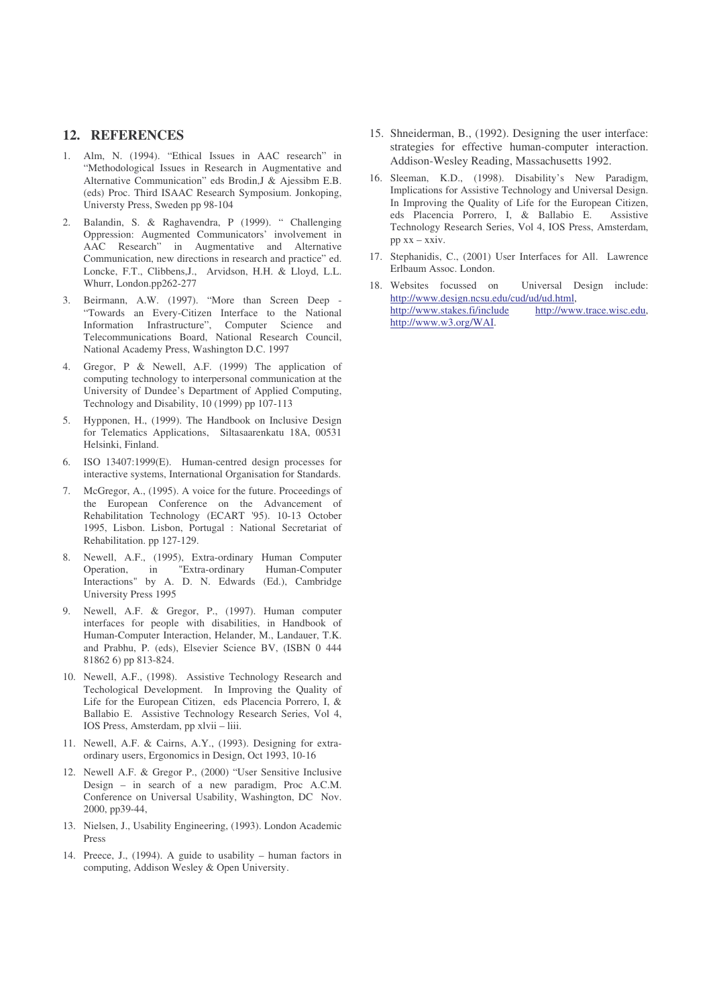#### **12. REFERENCES**

- 1. Alm, N. (1994). "Ethical Issues in AAC research" in "Methodological Issues in Research in Augmentative and Alternative Communication" eds Brodin,J & Ajessibm E.B. (eds) Proc. Third ISAAC Research Symposium. Jonkoping, Universty Press, Sweden pp 98-104
- 2. Balandin, S. & Raghavendra, P (1999). " Challenging Oppression: Augmented Communicators' involvement in AAC Research" in Augmentative and Alternative Communication, new directions in research and practice" ed. Loncke, F.T., Clibbens,J., Arvidson, H.H. & Lloyd, L.L. Whurr, London.pp262-277
- 3. Beirmann, A.W. (1997). "More than Screen Deep "Towards an Every-Citizen Interface to the National Information Infrastructure", Computer Science and Telecommunications Board, National Research Council, National Academy Press, Washington D.C. 1997
- 4. Gregor, P & Newell, A.F. (1999) The application of computing technology to interpersonal communication at the University of Dundee's Department of Applied Computing, Technology and Disability, 10 (1999) pp 107-113
- 5. Hypponen, H., (1999). The Handbook on Inclusive Design for Telematics Applications, Siltasaarenkatu 18A, 00531 Helsinki, Finland.
- 6. ISO 13407:1999(E). Human-centred design processes for interactive systems, International Organisation for Standards.
- 7. McGregor, A., (1995). A voice for the future. Proceedings of the European Conference on the Advancement of Rehabilitation Technology (ECART '95). 10-13 October 1995, Lisbon. Lisbon, Portugal : National Secretariat of Rehabilitation. pp 127-129.
- Newell, A.F., (1995), Extra-ordinary Human Computer Operation, in "Extra-ordinary Human-Computer Interactions" by A. D. N. Edwards (Ed.), Cambridge University Press 1995
- 9. Newell, A.F. & Gregor, P., (1997). Human computer interfaces for people with disabilities, in Handbook of Human-Computer Interaction, Helander, M., Landauer, T.K. and Prabhu, P. (eds), Elsevier Science BV, (ISBN 0 444 81862 6) pp 813-824.
- 10. Newell, A.F., (1998). Assistive Technology Research and Techological Development. In Improving the Quality of Life for the European Citizen, eds Placencia Porrero, I, & Ballabio E. Assistive Technology Research Series, Vol 4, IOS Press, Amsterdam, pp xlvii – liii.
- 11. Newell, A.F. & Cairns, A.Y., (1993). Designing for extraordinary users, Ergonomics in Design, Oct 1993, 10-16
- 12. Newell A.F. & Gregor P., (2000) "User Sensitive Inclusive Design – in search of a new paradigm, Proc A.C.M. Conference on Universal Usability, Washington, DC Nov. 2000, pp39-44,
- 13. Nielsen, J., Usability Engineering, (1993). London Academic Press
- 14. Preece, J., (1994). A guide to usability human factors in computing, Addison Wesley & Open University.
- 15. Shneiderman, B., (1992). Designing the user interface: strategies for effective human-computer interaction. Addison-Wesley Reading, Massachusetts 1992.
- 16. Sleeman, K.D., (1998). Disability's New Paradigm, Implications for Assistive Technology and Universal Design. In Improving the Quality of Life for the European Citizen, eds Placencia Porrero, I, & Ballabio E. Assistive Technology Research Series, Vol 4, IOS Press, Amsterdam, pp xx – xxiv.
- 17. Stephanidis, C., (2001) User Interfaces for All. Lawrence Erlbaum Assoc. London.
- 18. Websites focussed on Universal Design include: http://www.design.ncsu.edu/cud/ud/ud.html, http://www.stakes.fi/include http://www.trace.wisc.edu, http://www.w3.org/WAI.